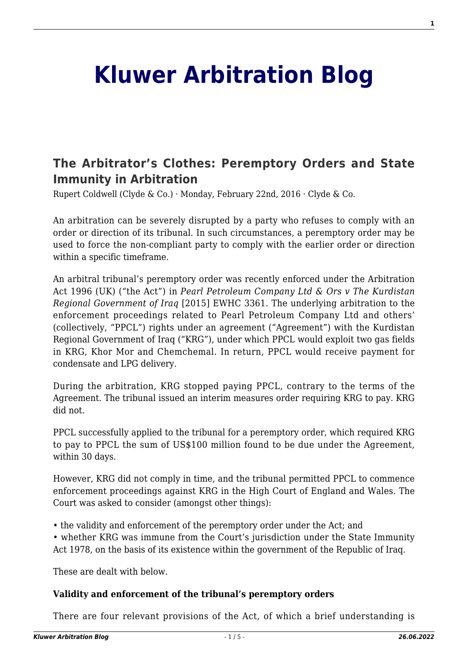# **[Kluwer Arbitration Blog](http://arbitrationblog.kluwerarbitration.com/)**

# **[The Arbitrator's Clothes: Peremptory Orders and State](http://arbitrationblog.kluwerarbitration.com/2016/02/22/the-arbitrators-clothes-peremptory-orders-and-state-immunity-in-arbitration/) [Immunity in Arbitration](http://arbitrationblog.kluwerarbitration.com/2016/02/22/the-arbitrators-clothes-peremptory-orders-and-state-immunity-in-arbitration/)**

Rupert Coldwell (Clyde & Co.) · Monday, February 22nd, 2016 · Clyde & Co.

An arbitration can be severely disrupted by a party who refuses to comply with an order or direction of its tribunal. In such circumstances, a peremptory order may be used to force the non-compliant party to comply with the earlier order or direction within a specific timeframe.

An arbitral tribunal's peremptory order was recently enforced under the Arbitration Act 1996 (UK) ("the Act") in *Pearl Petroleum Company Ltd & Ors v The Kurdistan Regional Government of Iraq* [2015] EWHC 3361. The underlying arbitration to the enforcement proceedings related to Pearl Petroleum Company Ltd and others' (collectively, "PPCL") rights under an agreement ("Agreement") with the Kurdistan Regional Government of Iraq ("KRG"), under which PPCL would exploit two gas fields in KRG, Khor Mor and Chemchemal. In return, PPCL would receive payment for condensate and LPG delivery.

During the arbitration, KRG stopped paying PPCL, contrary to the terms of the Agreement. The tribunal issued an interim measures order requiring KRG to pay. KRG did not.

PPCL successfully applied to the tribunal for a peremptory order, which required KRG to pay to PPCL the sum of US\$100 million found to be due under the Agreement, within 30 days.

However, KRG did not comply in time, and the tribunal permitted PPCL to commence enforcement proceedings against KRG in the High Court of England and Wales. The Court was asked to consider (amongst other things):

• the validity and enforcement of the peremptory order under the Act; and

• whether KRG was immune from the Court's jurisdiction under the State Immunity Act 1978, on the basis of its existence within the government of the Republic of Iraq.

These are dealt with below.

## **Validity and enforcement of the tribunal's peremptory orders**

There are four relevant provisions of the Act, of which a brief understanding is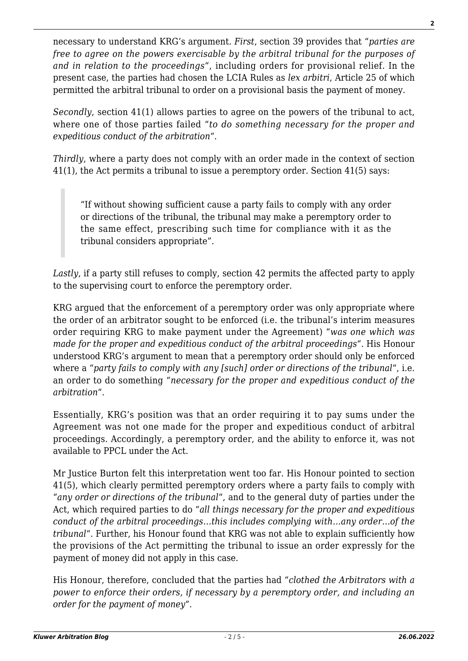necessary to understand KRG's argument. *First*, section 39 provides that "*parties are free to agree on the powers exercisable by the arbitral tribunal for the purposes of and in relation to the proceedings*", including orders for provisional relief. In the present case, the parties had chosen the LCIA Rules as *lex arbitri*, Article 25 of which permitted the arbitral tribunal to order on a provisional basis the payment of money.

*Secondly*, section 41(1) allows parties to agree on the powers of the tribunal to act, where one of those parties failed "*to do something necessary for the proper and expeditious conduct of the arbitration*".

*Thirdly*, where a party does not comply with an order made in the context of section 41(1), the Act permits a tribunal to issue a peremptory order. Section 41(5) says:

"If without showing sufficient cause a party fails to comply with any order or directions of the tribunal, the tribunal may make a peremptory order to the same effect, prescribing such time for compliance with it as the tribunal considers appropriate".

*Lastly*, if a party still refuses to comply, section 42 permits the affected party to apply to the supervising court to enforce the peremptory order.

KRG argued that the enforcement of a peremptory order was only appropriate where the order of an arbitrator sought to be enforced (i.e. the tribunal's interim measures order requiring KRG to make payment under the Agreement) "*was one which was made for the proper and expeditious conduct of the arbitral proceedings*". His Honour understood KRG's argument to mean that a peremptory order should only be enforced where a "*party fails to comply with any [such] order or directions of the tribunal*", i.e. an order to do something "*necessary for the proper and expeditious conduct of the arbitration*".

Essentially, KRG's position was that an order requiring it to pay sums under the Agreement was not one made for the proper and expeditious conduct of arbitral proceedings. Accordingly, a peremptory order, and the ability to enforce it, was not available to PPCL under the Act.

Mr Justice Burton felt this interpretation went too far. His Honour pointed to section 41(5), which clearly permitted peremptory orders where a party fails to comply with "*any order or directions of the tribunal*", and to the general duty of parties under the Act, which required parties to do "*all things necessary for the proper and expeditious conduct of the arbitral proceedings…this includes complying with…any order…of the tribunal*". Further, his Honour found that KRG was not able to explain sufficiently how the provisions of the Act permitting the tribunal to issue an order expressly for the payment of money did not apply in this case.

His Honour, therefore, concluded that the parties had "*clothed the Arbitrators with a power to enforce their orders, if necessary by a peremptory order, and including an order for the payment of money*".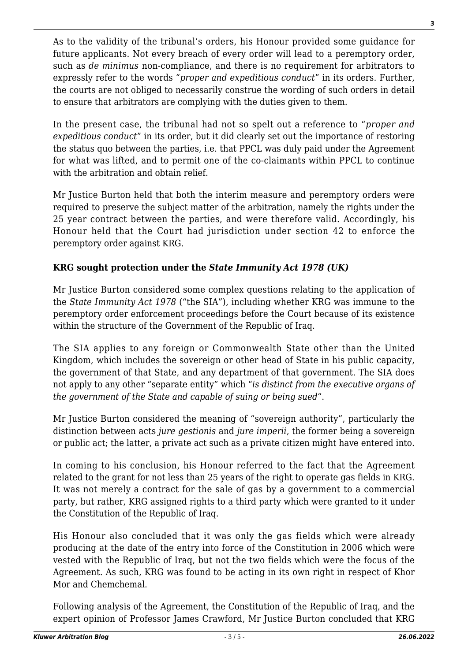As to the validity of the tribunal's orders, his Honour provided some guidance for future applicants. Not every breach of every order will lead to a peremptory order, such as *de minimus* non-compliance, and there is no requirement for arbitrators to expressly refer to the words "*proper and expeditious conduct*" in its orders. Further, the courts are not obliged to necessarily construe the wording of such orders in detail to ensure that arbitrators are complying with the duties given to them.

In the present case, the tribunal had not so spelt out a reference to "*proper and expeditious conduct*" in its order, but it did clearly set out the importance of restoring the status quo between the parties, i.e. that PPCL was duly paid under the Agreement for what was lifted, and to permit one of the co-claimants within PPCL to continue with the arbitration and obtain relief.

Mr Justice Burton held that both the interim measure and peremptory orders were required to preserve the subject matter of the arbitration, namely the rights under the 25 year contract between the parties, and were therefore valid. Accordingly, his Honour held that the Court had jurisdiction under section 42 to enforce the peremptory order against KRG.

# **KRG sought protection under the** *State Immunity Act 1978 (UK)*

Mr Justice Burton considered some complex questions relating to the application of the *State Immunity Act 1978* ("the SIA"), including whether KRG was immune to the peremptory order enforcement proceedings before the Court because of its existence within the structure of the Government of the Republic of Iraq.

The SIA applies to any foreign or Commonwealth State other than the United Kingdom, which includes the sovereign or other head of State in his public capacity, the government of that State, and any department of that government. The SIA does not apply to any other "separate entity" which "*is distinct from the executive organs of the government of the State and capable of suing or being sued*".

Mr Justice Burton considered the meaning of "sovereign authority", particularly the distinction between acts *jure gestionis* and *jure imperii*, the former being a sovereign or public act; the latter, a private act such as a private citizen might have entered into.

In coming to his conclusion, his Honour referred to the fact that the Agreement related to the grant for not less than 25 years of the right to operate gas fields in KRG. It was not merely a contract for the sale of gas by a government to a commercial party, but rather, KRG assigned rights to a third party which were granted to it under the Constitution of the Republic of Iraq.

His Honour also concluded that it was only the gas fields which were already producing at the date of the entry into force of the Constitution in 2006 which were vested with the Republic of Iraq, but not the two fields which were the focus of the Agreement. As such, KRG was found to be acting in its own right in respect of Khor Mor and Chemchemal.

Following analysis of the Agreement, the Constitution of the Republic of Iraq, and the expert opinion of Professor James Crawford, Mr Justice Burton concluded that KRG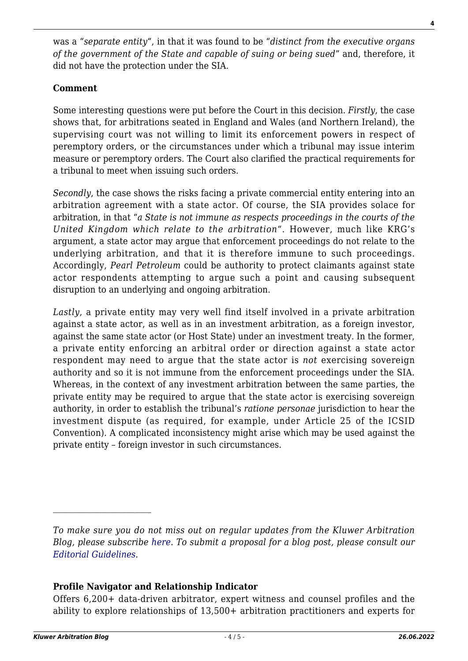was a "*separate entity*", in that it was found to be "*distinct from the executive organs of the government of the State and capable of suing or being sued*" and, therefore, it did not have the protection under the SIA.

# **Comment**

Some interesting questions were put before the Court in this decision. *Firstly*, the case shows that, for arbitrations seated in England and Wales (and Northern Ireland), the supervising court was not willing to limit its enforcement powers in respect of peremptory orders, or the circumstances under which a tribunal may issue interim measure or peremptory orders. The Court also clarified the practical requirements for a tribunal to meet when issuing such orders.

*Secondly*, the case shows the risks facing a private commercial entity entering into an arbitration agreement with a state actor. Of course, the SIA provides solace for arbitration, in that "*a State is not immune as respects proceedings in the courts of the United Kingdom which relate to the arbitration*". However, much like KRG's argument, a state actor may argue that enforcement proceedings do not relate to the underlying arbitration, and that it is therefore immune to such proceedings. Accordingly, *Pearl Petroleum* could be authority to protect claimants against state actor respondents attempting to argue such a point and causing subsequent disruption to an underlying and ongoing arbitration.

*Lastly*, a private entity may very well find itself involved in a private arbitration against a state actor, as well as in an investment arbitration, as a foreign investor, against the same state actor (or Host State) under an investment treaty. In the former, a private entity enforcing an arbitral order or direction against a state actor respondent may need to argue that the state actor is *not* exercising sovereign authority and so it is not immune from the enforcement proceedings under the SIA. Whereas, in the context of any investment arbitration between the same parties, the private entity may be required to argue that the state actor is exercising sovereign authority, in order to establish the tribunal's *ratione personae* jurisdiction to hear the investment dispute (as required, for example, under Article 25 of the ICSID Convention). A complicated inconsistency might arise which may be used against the private entity – foreign investor in such circumstances.

## **Profile Navigator and Relationship Indicator**

Offers 6,200+ data-driven arbitrator, expert witness and counsel profiles and the ability to explore relationships of 13,500+ arbitration practitioners and experts for

*To make sure you do not miss out on regular updates from the Kluwer Arbitration Blog, please subscribe [here](http://arbitrationblog.kluwerarbitration.com/newsletter/). To submit a proposal for a blog post, please consult our [Editorial Guidelines.](http://arbitrationblog.kluwerarbitration.com/editorial-guidelines/)*